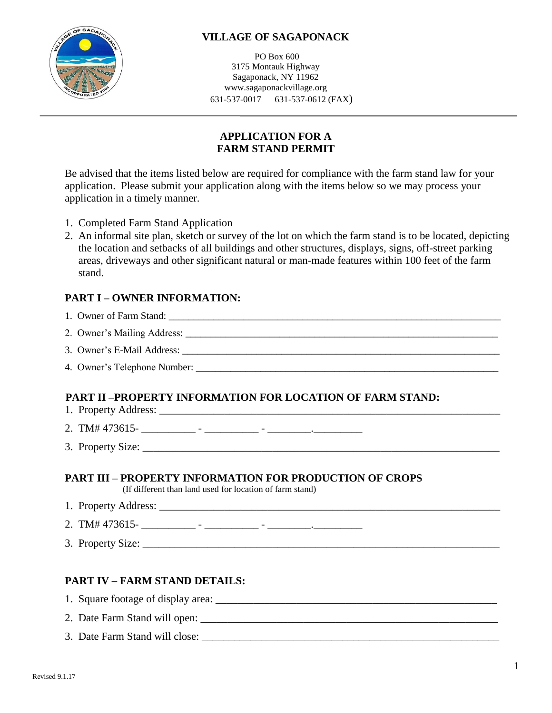

# **VILLAGE OF SAGAPONACK**

PO Box 600 3175 Montauk Highway Sagaponack, NY 11962 www.sagaponackvillage.org 631-537-0017 631-537-0612 (FAX)

# **APPLICATION FOR A FARM STAND PERMIT**

Be advised that the items listed below are required for compliance with the farm stand law for your application. Please submit your application along with the items below so we may process your application in a timely manner.

- 1. Completed Farm Stand Application
- 2. An informal site plan, sketch or survey of the lot on which the farm stand is to be located, depicting the location and setbacks of all buildings and other structures, displays, signs, off-street parking areas, driveways and other significant natural or man-made features within 100 feet of the farm stand.

#### **PART I – OWNER INFORMATION:**

| PART II –PROPERTY INFORMATION FOR LOCATION OF FARM STAND:                                                                            |
|--------------------------------------------------------------------------------------------------------------------------------------|
| 2. TM# 473615- $\frac{1}{\sqrt{25}}$ - $\frac{1}{\sqrt{25}}$ - $\frac{1}{\sqrt{25}}$ - $\frac{1}{\sqrt{25}}$ - $\frac{1}{\sqrt{25}}$ |
|                                                                                                                                      |
| <b>PART III – PROPERTY INFORMATION FOR PRODUCTION OF CROPS</b><br>(If different than land used for location of farm stand)           |
|                                                                                                                                      |
|                                                                                                                                      |

3. Property Size: \_\_\_\_\_\_\_\_\_\_\_\_\_\_\_\_\_\_\_\_\_\_\_\_\_\_\_\_\_\_\_\_\_\_\_\_\_\_\_\_\_\_\_\_\_\_\_\_\_\_\_\_\_\_\_\_\_\_\_\_\_\_\_\_\_\_

# **PART IV – FARM STAND DETAILS:**

- 1. Square footage of display area: \_\_\_\_\_\_\_\_\_\_\_\_\_\_\_\_\_\_\_\_\_\_\_\_\_\_\_\_\_\_\_\_\_\_\_\_\_\_\_\_\_\_\_\_\_\_\_\_\_\_\_\_
- 2. Date Farm Stand will open: \_\_\_\_\_\_\_\_\_\_\_\_\_\_\_\_\_\_\_\_\_\_\_\_\_\_\_\_\_\_\_\_\_\_\_\_\_\_\_\_\_\_\_\_\_\_\_\_\_\_\_\_\_\_\_
- 3. Date Farm Stand will close: \_\_\_\_\_\_\_\_\_\_\_\_\_\_\_\_\_\_\_\_\_\_\_\_\_\_\_\_\_\_\_\_\_\_\_\_\_\_\_\_\_\_\_\_\_\_\_\_\_\_\_\_\_\_\_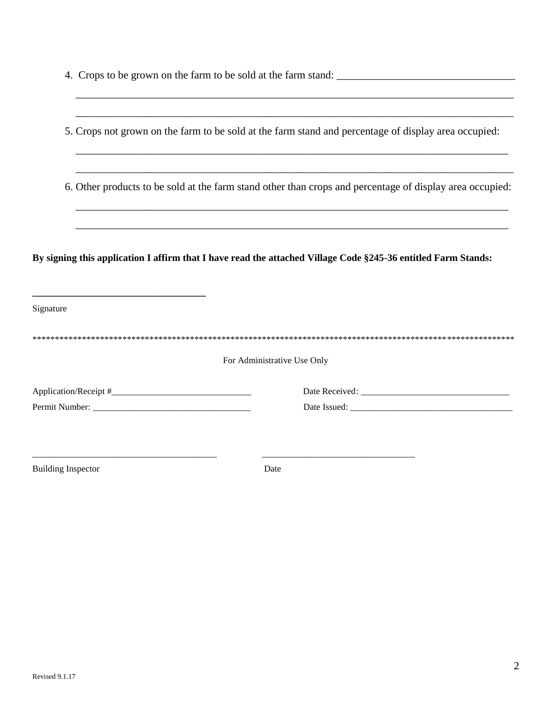|                           | 5. Crops not grown on the farm to be sold at the farm stand and percentage of display area occupied:          |
|---------------------------|---------------------------------------------------------------------------------------------------------------|
|                           |                                                                                                               |
|                           | 6. Other products to be sold at the farm stand other than crops and percentage of display area occupied:      |
|                           |                                                                                                               |
|                           | By signing this application I affirm that I have read the attached Village Code §245-36 entitled Farm Stands: |
| Signature                 |                                                                                                               |
|                           |                                                                                                               |
|                           | For Administrative Use Only                                                                                   |
|                           |                                                                                                               |
|                           |                                                                                                               |
| <b>Building Inspector</b> | Date                                                                                                          |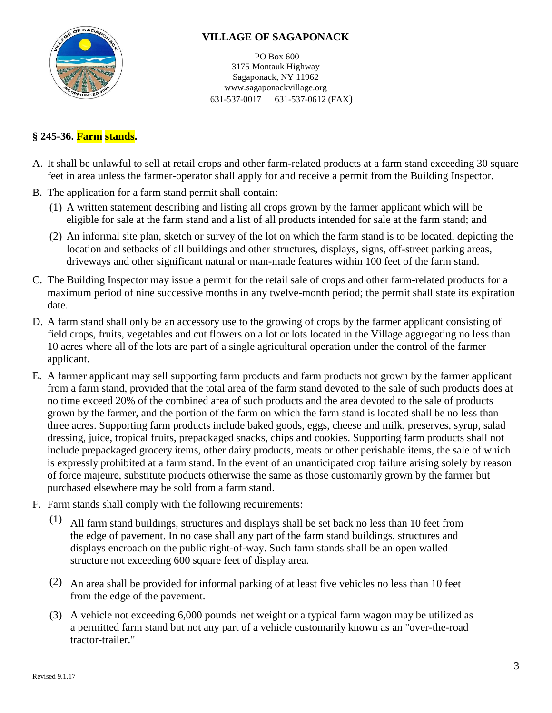

# **VILLAGE OF SAGAPONACK**

PO Box 600 3175 Montauk Highway Sagaponack, NY 11962 www.sagaponackvillage.org 631-537-0017 631-537-0612 (FAX)

# **§ 245-36. Farm stands.**

- A. It shall be unlawful to sell at retail crops and other farm-related products at a farm stand exceeding 30 square feet in area unless the farmer-operator shall apply for and receive a permit from the Building Inspector.
- B. The application for a farm stand permit shall contain:
	- (1) A written statement describing and listing all crops grown by the farmer applicant which will be eligible for sale at the farm stand and a list of all products intended for sale at the farm stand; and
	- (2) An informal site plan, sketch or survey of the lot on which the farm stand is to be located, depicting the location and setbacks of all buildings and other structures, displays, signs, off-street parking areas, driveways and other significant natural or man-made features within 100 feet of the farm stand.
- C. The Building Inspector may issue a permit for the retail sale of crops and other farm-related products for a maximum period of nine successive months in any twelve-month period; the permit shall state its expiration date.
- D. A farm stand shall only be an accessory use to the growing of crops by the farmer applicant consisting of field crops, fruits, vegetables and cut flowers on a lot or lots located in the Village aggregating no less than 10 acres where all of the lots are part of a single agricultural operation under the control of the farmer applicant.
- E. A farmer applicant may sell supporting farm products and farm products not grown by the farmer applicant from a farm stand, provided that the total area of the farm stand devoted to the sale of such products does at no time exceed 20% of the combined area of such products and the area devoted to the sale of products grown by the farmer, and the portion of the farm on which the farm stand is located shall be no less than three acres. Supporting farm products include baked goods, eggs, cheese and milk, preserves, syrup, salad dressing, juice, tropical fruits, prepackaged snacks, chips and cookies. Supporting farm products shall not include prepackaged grocery items, other dairy products, meats or other perishable items, the sale of which is expressly prohibited at a farm stand. In the event of an unanticipated crop failure arising solely by reason of force majeure, substitute products otherwise the same as those customarily grown by the farmer but purchased elsewhere may be sold from a farm stand.
- F. Farm stands shall comply with the following requirements:
	- (1) All farm stand buildings, structures and displays shall be set back no less than 10 feet from the edge of pavement. In no case shall any part of the farm stand buildings, structures and displays encroach on the public right-of-way. Such farm stands shall be an open walled structure not exceeding 600 square feet of display area.
	- (2) An area shall be provided for informal parking of at least five vehicles no less than 10 feet from the edge of the pavement.
	- (3) A vehicle not exceeding 6,000 pounds' net weight or a typical farm wagon may be utilized as a permitted farm stand but not any part of a vehicle customarily known as an "over-the-road tractor-trailer."